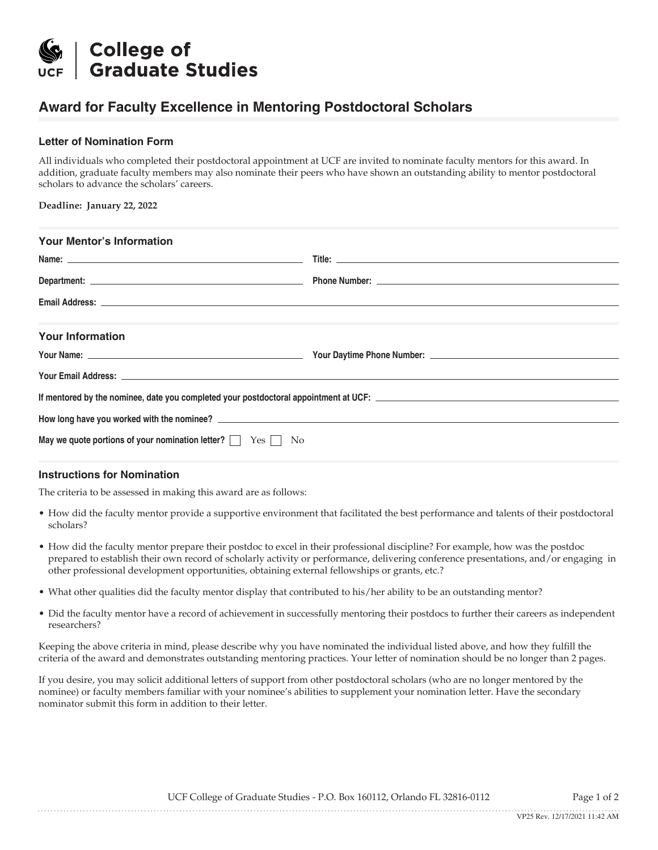

# **Award for Faculty Excellence in Mentoring Postdoctoral Scholars**

## **Letter of Nomination Form**

All individuals who completed their postdoctoral appointment at UCF are invited to nominate faculty mentors for this award. In addition, graduate faculty members may also nominate their peers who have shown an outstanding ability to mentor postdoctoral scholars to advance the scholars' careers.

**Deadline: January 22, 2022**

| <b>Your Mentor's Information</b>                                                                                                                                                                                               |  |
|--------------------------------------------------------------------------------------------------------------------------------------------------------------------------------------------------------------------------------|--|
|                                                                                                                                                                                                                                |  |
|                                                                                                                                                                                                                                |  |
|                                                                                                                                                                                                                                |  |
|                                                                                                                                                                                                                                |  |
| <b>Your Information</b>                                                                                                                                                                                                        |  |
|                                                                                                                                                                                                                                |  |
| Your Email Address: And the contract of the contract of the contract of the contract of the contract of the contract of the contract of the contract of the contract of the contract of the contract of the contract of the co |  |
|                                                                                                                                                                                                                                |  |
|                                                                                                                                                                                                                                |  |
| May we quote portions of your nomination letter? $\Box$ Yes $\Box$ No                                                                                                                                                          |  |

#### **Instructions for Nomination**

The criteria to be assessed in making this award are as follows:

- How did the faculty mentor provide a supportive environment that facilitated the best performance and talents of their postdoctoral scholars?
- How did the faculty mentor prepare their postdoc to excel in their professional discipline? For example, how was the postdoc prepared to establish their own record of scholarly activity or performance, delivering conference presentations, and/or engaging in other professional development opportunities, obtaining external fellowships or grants, etc.?
- What other qualities did the faculty mentor display that contributed to his/her ability to be an outstanding mentor?
- Did the faculty mentor have a record of achievement in successfully mentoring their postdocs to further their careers as independent researchers?

Keeping the above criteria in mind, please describe why you have nominated the individual listed above, and how they fulfill the criteria of the award and demonstrates outstanding mentoring practices. Your letter of nomination should be no longer than 2 pages.

If you desire, you may solicit additional letters of support from other postdoctoral scholars (who are no longer mentored by the nominee) or faculty members familiar with your nominee's abilities to supplement your nomination letter. Have the secondary nominator submit this form in addition to their letter.

UCF College of Graduate Studies - P.O. Box 160112, Orlando FL 32816-0112 Page 1 of 2